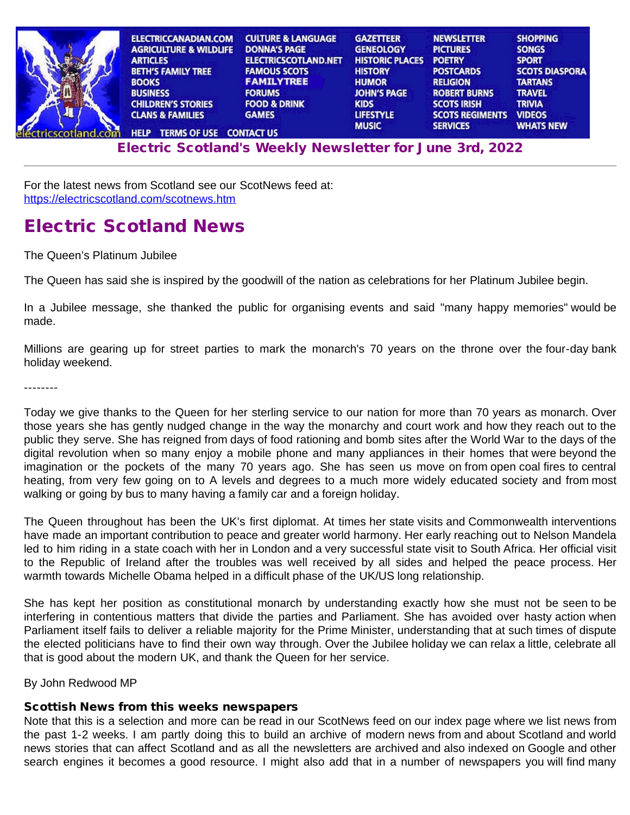| <b>ELECTRICCANADIAN.COM</b>                   | <b>CULTURE &amp; LANGUAGE</b> | <b>GAZETTEER</b>       | <b>NEWSLETTER</b>      | <b>SHOPPING</b>       |
|-----------------------------------------------|-------------------------------|------------------------|------------------------|-----------------------|
| <b>AGRICULTURE &amp; WILDLIFE</b>             | <b>DONNA'S PAGE</b>           | <b>GENEOLOGY</b>       | <b>PICTURES</b>        | <b>SONGS</b>          |
| <b>ARTICLES</b>                               | <b>ELECTRICSCOTLAND.NET</b>   | <b>HISTORIC PLACES</b> | <b>POETRY</b>          | <b>SPORT</b>          |
| <b>BETH'S FAMILY TREE</b>                     | <b>FAMOUS SCOTS</b>           | <b>HISTORY</b>         | <b>POSTCARDS</b>       | <b>SCOTS DIASPORA</b> |
| <b>BOOKS</b>                                  | <b>FAMILYTREE</b>             | <b>HUMOR</b>           | <b>RELIGION</b>        | <b>TARTANS</b>        |
| <b>BUSINESS</b>                               | <b>FORUMS</b>                 | <b>JOHN'S PAGE</b>     | <b>ROBERT BURNS</b>    | <b>TRAVEL</b>         |
| <b>CHILDREN'S STORIES</b>                     | <b>FOOD &amp; DRINK</b>       | <b>KIDS</b>            | <b>SCOTS IRISH</b>     | <b>TRIVIA</b>         |
| <b>CLANS &amp; FAMILIES</b>                   | <b>GAMES</b>                  | <b>LIFESTYLE</b>       | <b>SCOTS REGIMENTS</b> | <b>VIDEOS</b>         |
| <b>TERMS OF USE CONTACT US</b><br><b>HELP</b> |                               | <b>MUSIC</b>           | <b>SERVICES</b>        |                       |

E[lectri](http://www.electricscotland.org/help/)[c Scotlan](http://www.electricscotland.com/ester.htm)[d's Weekly Newslet](http://www.electricscotland.com/contact.htm)[ter for J](http://www.electricscotland.com/music/index.htm)[une 3rd, 202](http://www.electricscotland.com/services/index.htm)[2](http://www.electricscotland.com/whatsnew.htm)

For the latest news from Scotland see our ScotNews feed at: <https://electricscotland.com/scotnews.htm>

# Electric Scotland News

The Queen's Platinum Jubilee

The Queen has said she is inspired by the goodwill of the nation as celebrations for her Platinum Jubilee begin.

In a Jubilee message, she thanked the public for organising events and said "many happy memories" would be made.

Millions are gearing up for street parties to mark the monarch's 70 years on the throne over the four-day bank holiday weekend.

--------

Today we give thanks to the Queen for her sterling service to our nation for more than 70 years as monarch. Over those years she has gently nudged change in the way the monarchy and court work and how they reach out to the public they serve. She has reigned from days of food rationing and bomb sites after the World War to the days of the digital revolution when so many enjoy a mobile phone and many appliances in their homes that were beyond the imagination or the pockets of the many 70 years ago. She has seen us move on from open coal fires to central heating, from very few going on to A levels and degrees to a much more widely educated society and from most walking or going by bus to many having a family car and a foreign holiday.

The Queen throughout has been the UK's first diplomat. At times her state visits and Commonwealth interventions have made an important contribution to peace and greater world harmony. Her early reaching out to Nelson Mandela led to him riding in a state coach with her in London and a very successful state visit to South Africa. Her official visit to the Republic of Ireland after the troubles was well received by all sides and helped the peace process. Her warmth towards Michelle Obama helped in a difficult phase of the UK/US long relationship.

She has kept her position as constitutional monarch by understanding exactly how she must not be seen to be interfering in contentious matters that divide the parties and Parliament. She has avoided over hasty action when Parliament itself fails to deliver a reliable majority for the Prime Minister, understanding that at such times of dispute the elected politicians have to find their own way through. Over the Jubilee holiday we can relax a little, celebrate all that is good about the modern UK, and thank the Queen for her service.

By John Redwood MP

# Scottish News from this weeks newspapers

Note that this is a selection and more can be read in our ScotNews feed on our index page where we list news from the past 1-2 weeks. I am partly doing this to build an archive of modern news from and about Scotland and world news stories that can affect Scotland and as all the newsletters are archived and also indexed on Google and other search engines it becomes a good resource. I might also add that in a number of newspapers you will find many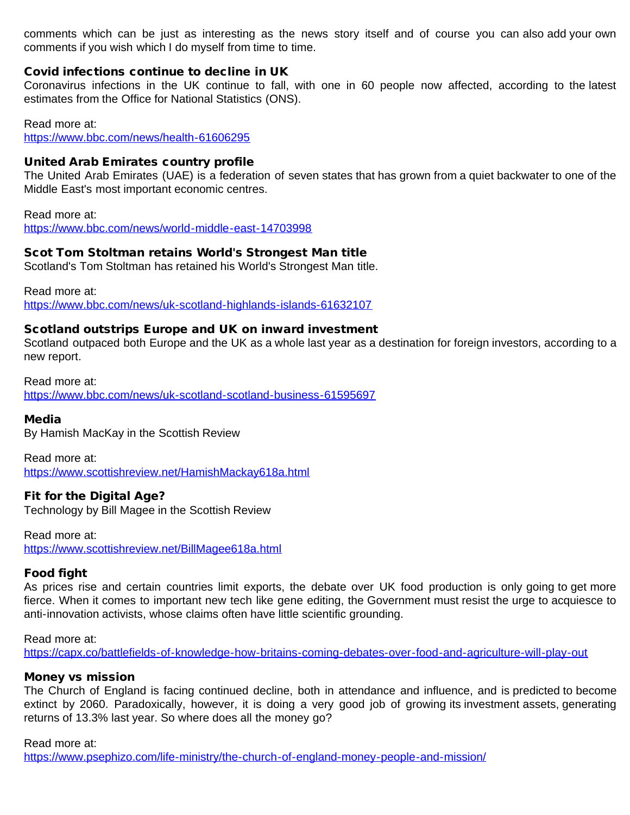comments which can be just as interesting as the news story itself and of course you can also add your own comments if you wish which I do myself from time to time.

# Covid infections continue to decline in UK

Coronavirus infections in the UK continue to fall, with one in 60 people now affected, according to the latest estimates from the Office for National Statistics (ONS).

Read more at: <https://www.bbc.com/news/health-61606295>

# United Arab Emirates country profile

The United Arab Emirates (UAE) is a federation of seven states that has grown from a quiet backwater to one of the Middle East's most important economic centres.

Read more at: <https://www.bbc.com/news/world-middle-east-14703998>

# Scot Tom Stoltman retains World's Strongest Man title

Scotland's Tom Stoltman has retained his World's Strongest Man title.

Read more at: <https://www.bbc.com/news/uk-scotland-highlands-islands-61632107>

#### Scotland outstrips Europe and UK on inward investment

Scotland outpaced both Europe and the UK as a whole last year as a destination for foreign investors, according to a new report.

Read more at: <https://www.bbc.com/news/uk-scotland-scotland-business-61595697>

#### Media

By Hamish MacKay in the Scottish Review

Read more at: <https://www.scottishreview.net/HamishMackay618a.html>

# Fit for the Digital Age?

Technology by Bill Magee in the Scottish Review

Read more at: <https://www.scottishreview.net/BillMagee618a.html>

#### Food fight

As prices rise and certain countries limit exports, the debate over UK food production is only going to get more fierce. When it comes to important new tech like gene editing, the Government must resist the urge to acquiesce to anti-innovation activists, whose claims often have little scientific grounding.

Read more at: <https://capx.co/battlefields-of-knowledge-how-britains-coming-debates-over-food-and-agriculture-will-play-out>

#### Money vs mission

The Church of England is facing continued decline, both in attendance and influence, and is predicted to become extinct by 2060. Paradoxically, however, it is doing a very good job of growing its investment assets, generating returns of 13.3% last year. So where does all the money go?

Read more at:

<https://www.psephizo.com/life-ministry/the-church-of-england-money-people-and-mission/>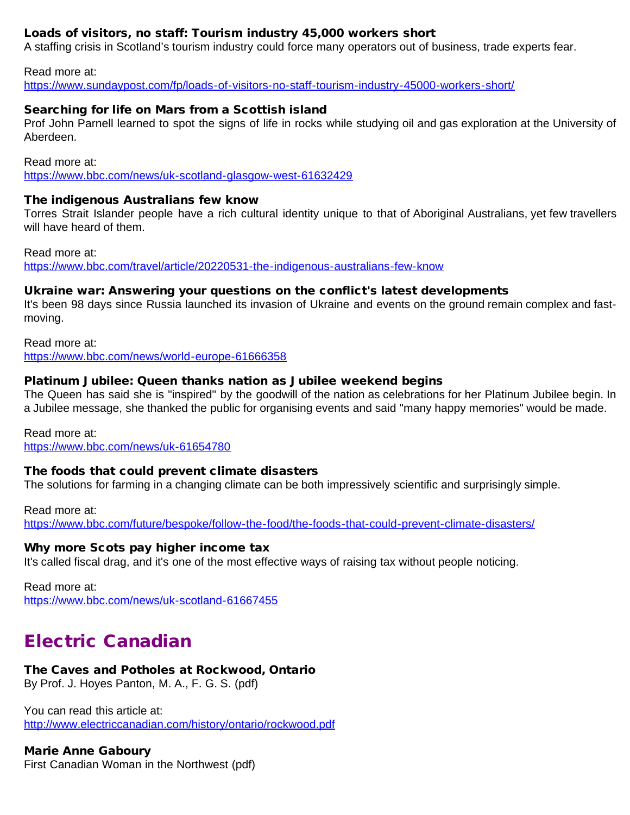# Loads of visitors, no staff: Tourism industry 45,000 workers short

A staffing crisis in Scotland's tourism industry could force many operators out of business, trade experts fear.

Read more at:

<https://www.sundaypost.com/fp/loads-of-visitors-no-staff-tourism-industry-45000-workers-short/>

# Searching for life on Mars from a Scottish island

Prof John Parnell learned to spot the signs of life in rocks while studying oil and gas exploration at the University of Aberdeen.

Read more at: <https://www.bbc.com/news/uk-scotland-glasgow-west-61632429>

### The indigenous Australians few know

Torres Strait Islander people have a rich cultural identity unique to that of Aboriginal Australians, yet few travellers will have heard of them.

Read more at: <https://www.bbc.com/travel/article/20220531-the-indigenous-australians-few-know>

# Ukraine war: Answering your questions on the conflict's latest developments

It's been 98 days since Russia launched its invasion of Ukraine and events on the ground remain complex and fastmoving.

Read more at: <https://www.bbc.com/news/world-europe-61666358>

#### Platinum Jubilee: Queen thanks nation as Jubilee weekend begins

The Queen has said she is "inspired" by the goodwill of the nation as celebrations for her Platinum Jubilee begin. In a Jubilee message, she thanked the public for organising events and said "many happy memories" would be made.

Read more at:

<https://www.bbc.com/news/uk-61654780>

# The foods that could prevent climate disasters

The solutions for farming in a changing climate can be both impressively scientific and surprisingly simple.

Read more at: <https://www.bbc.com/future/bespoke/follow-the-food/the-foods-that-could-prevent-climate-disasters/>

# Why more Scots pay higher income tax

It's called fiscal drag, and it's one of the most effective ways of raising tax without people noticing.

Read more at: <https://www.bbc.com/news/uk-scotland-61667455>

# Electric Canadian

# The Caves and Potholes at Rockwood, Ontario

By Prof. J. Hoyes Panton, M. A., F. G. S. (pdf)

You can read this article at: <http://www.electriccanadian.com/history/ontario/rockwood.pdf>

# Marie Anne Gaboury

First Canadian Woman in the Northwest (pdf)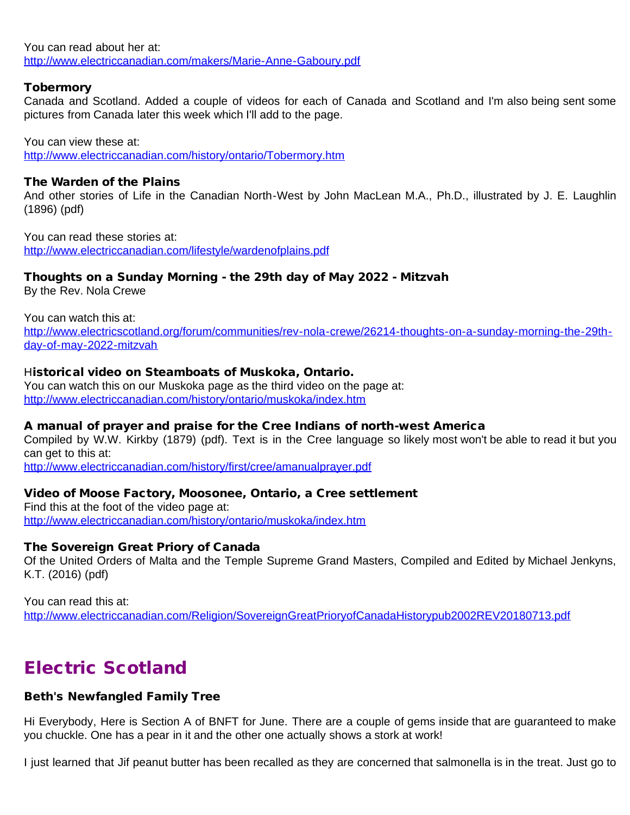You can read about her at: <http://www.electriccanadian.com/makers/Marie-Anne-Gaboury.pdf>

### **Tobermory**

Canada and Scotland. Added a couple of videos for each of Canada and Scotland and I'm also being sent some pictures from Canada later this week which I'll add to the page.

You can view these at:

<http://www.electriccanadian.com/history/ontario/Tobermory.htm>

#### The Warden of the Plains

And other stories of Life in the Canadian North-West by John MacLean M.A., Ph.D., illustrated by J. E. Laughlin (1896) (pdf)

You can read these stories at: <http://www.electriccanadian.com/lifestyle/wardenofplains.pdf>

# Thoughts on a Sunday Morning - the 29th day of May 2022 - Mitzvah

By the Rev. Nola Crewe

You can watch this at:

[http://www.electricscotland.org/forum/communities/rev-nola-crewe/26214-thoughts-on-a-sunday-morning-the-29th](http://www.electricscotland.org/forum/communities/rev-nola-crewe/26214-thoughts-on-a-sunday-morning-the-29th-day-of-may-2022-mitzvah)[day-of-may-2022-mitzvah](http://www.electricscotland.org/forum/communities/rev-nola-crewe/26214-thoughts-on-a-sunday-morning-the-29th-day-of-may-2022-mitzvah)

#### Historical video on Steamboats of Muskoka, Ontario.

You can watch this on our Muskoka page as the third video on the page at: <http://www.electriccanadian.com/history/ontario/muskoka/index.htm>

#### A manual of prayer and praise for the Cree Indians of north-west America

Compiled by W.W. Kirkby (1879) (pdf). Text is in the Cree language so likely most won't be able to read it but you can get to this at:

<http://www.electriccanadian.com/history/first/cree/amanualprayer.pdf>

#### Video of Moose Factory, Moosonee, Ontario, a Cree settlement

Find this at the foot of the video page at: <http://www.electriccanadian.com/history/ontario/muskoka/index.htm>

#### The Sovereign Great Priory of Canada

Of the United Orders of Malta and the Temple Supreme Grand Masters, Compiled and Edited by Michael Jenkyns, K.T. (2016) (pdf)

You can read this at: <http://www.electriccanadian.com/Religion/SovereignGreatPrioryofCanadaHistorypub2002REV20180713.pdf>

# Electric Scotland

# Beth's Newfangled Family Tree

Hi Everybody, Here is Section A of BNFT for June. There are a couple of gems inside that are guaranteed to make you chuckle. One has a pear in it and the other one actually shows a stork at work!

I just learned that Jif peanut butter has been recalled as they are concerned that salmonella is in the treat. Just go to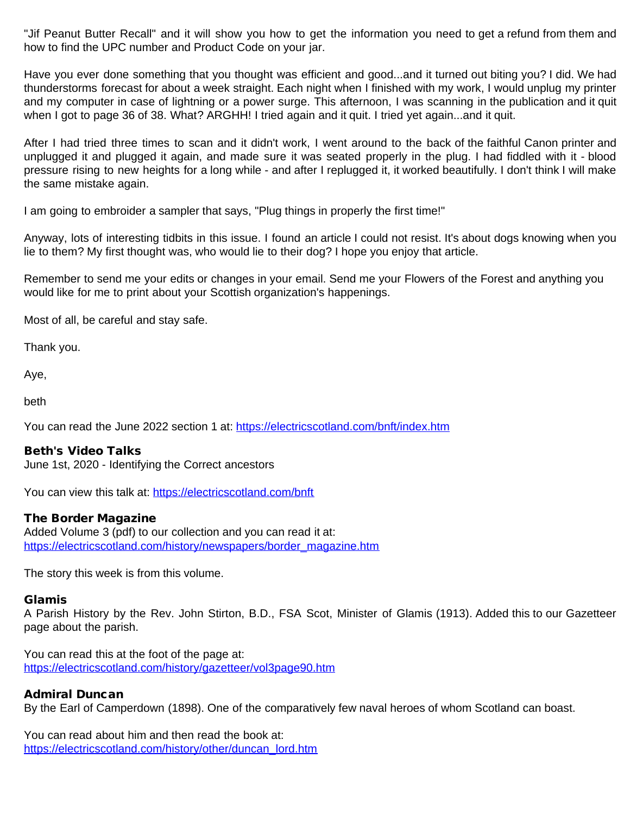"Jif Peanut Butter Recall" and it will show you how to get the information you need to get a refund from them and how to find the UPC number and Product Code on your jar.

Have you ever done something that you thought was efficient and good...and it turned out biting you? I did. We had thunderstorms forecast for about a week straight. Each night when I finished with my work, I would unplug my printer and my computer in case of lightning or a power surge. This afternoon, I was scanning in the publication and it quit when I got to page 36 of 38. What? ARGHH! I tried again and it quit. I tried yet again...and it quit.

After I had tried three times to scan and it didn't work, I went around to the back of the faithful Canon printer and unplugged it and plugged it again, and made sure it was seated properly in the plug. I had fiddled with it - blood pressure rising to new heights for a long while - and after I replugged it, it worked beautifully. I don't think I will make the same mistake again.

I am going to embroider a sampler that says, "Plug things in properly the first time!"

Anyway, lots of interesting tidbits in this issue. I found an article I could not resist. It's about dogs knowing when you lie to them? My first thought was, who would lie to their dog? I hope you enjoy that article.

Remember to send me your edits or changes in your email. Send me your Flowers of the Forest and anything you would like for me to print about your Scottish organization's happenings.

Most of all, be careful and stay safe.

Thank you.

Aye,

beth

You can read the June 2022 section 1 at: <https://electricscotland.com/bnft/index.htm>

#### Beth's Video Talks

June 1st, 2020 - Identifying the Correct ancestors

You can view this talk at: <https://electricscotland.com/bnft>

#### The Border Magazine

Added Volume 3 (pdf) to our collection and you can read it at: [https://electricscotland.com/history/newspapers/border\\_magazine.htm](https://electricscotland.com/history/newspapers/border_magazine.htm)

The story this week is from this volume.

#### Glamis

A Parish History by the Rev. John Stirton, B.D., FSA Scot, Minister of Glamis (1913). Added this to our Gazetteer page about the parish.

You can read this at the foot of the page at: <https://electricscotland.com/history/gazetteer/vol3page90.htm>

# Admiral Duncan

By the Earl of Camperdown (1898). One of the comparatively few naval heroes of whom Scotland can boast.

You can read about him and then read the book at: [https://electricscotland.com/history/other/duncan\\_lord.htm](https://electricscotland.com/history/other/duncan_lord.htm)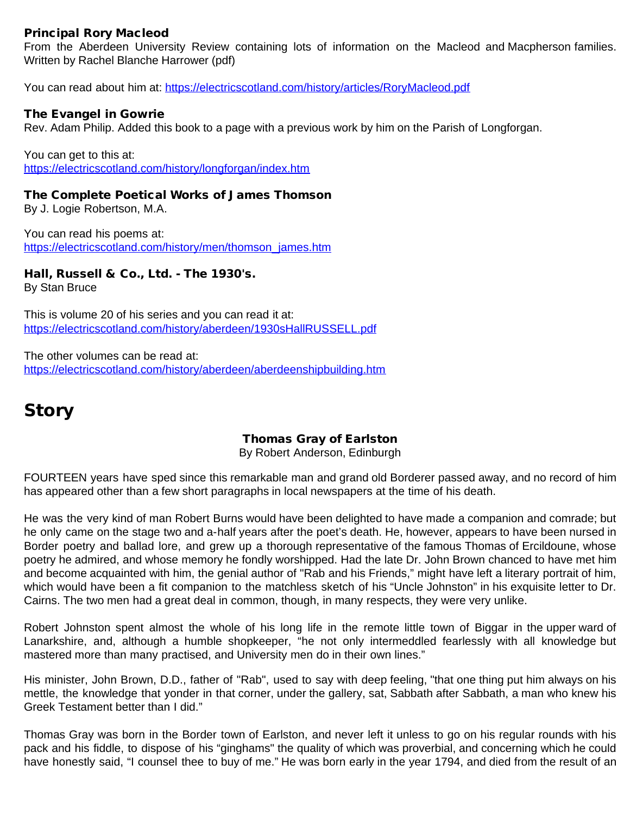# Principal Rory Macleod

From the Aberdeen University Review containing lots of information on the Macleod and Macpherson families. Written by Rachel Blanche Harrower (pdf)

You can read about him at: <https://electricscotland.com/history/articles/RoryMacleod.pdf>

### The Evangel in Gowrie

Rev. Adam Philip. Added this book to a page with a previous work by him on the Parish of Longforgan.

You can get to this at: <https://electricscotland.com/history/longforgan/index.htm>

The Complete Poetical Works of James Thomson By J. Logie Robertson, M.A.

You can read his poems at: [https://electricscotland.com/history/men/thomson\\_james.htm](https://electricscotland.com/history/men/thomson_james.htm)

# Hall, Russell & Co., Ltd. - The 1930's.

By Stan Bruce

This is volume 20 of his series and you can read it at: <https://electricscotland.com/history/aberdeen/1930sHallRUSSELL.pdf>

The other volumes can be read at: <https://electricscotland.com/history/aberdeen/aberdeenshipbuilding.htm>

# **Story**

# Thomas Gray of Earlston

By Robert Anderson, Edinburgh

FOURTEEN years have sped since this remarkable man and grand old Borderer passed away, and no record of him has appeared other than a few short paragraphs in local newspapers at the time of his death.

He was the very kind of man Robert Burns would have been delighted to have made a companion and comrade; but he only came on the stage two and a-half years after the poet's death. He, however, appears to have been nursed in Border poetry and ballad lore, and grew up a thorough representative of the famous Thomas of Ercildoune, whose poetry he admired, and whose memory he fondly worshipped. Had the late Dr. John Brown chanced to have met him and become acquainted with him, the genial author of "Rab and his Friends," might have left a literary portrait of him, which would have been a fit companion to the matchless sketch of his "Uncle Johnston" in his exquisite letter to Dr. Cairns. The two men had a great deal in common, though, in many respects, they were very unlike.

Robert Johnston spent almost the whole of his long life in the remote little town of Biggar in the upper ward of Lanarkshire, and, although a humble shopkeeper, "he not only intermeddled fearlessly with all knowledge but mastered more than many practised, and University men do in their own lines."

His minister, John Brown, D.D., father of "Rab", used to say with deep feeling, "that one thing put him always on his mettle, the knowledge that yonder in that corner, under the gallery, sat, Sabbath after Sabbath, a man who knew his Greek Testament better than I did."

Thomas Gray was born in the Border town of Earlston, and never left it unless to go on his regular rounds with his pack and his fiddle, to dispose of his "ginghams" the quality of which was proverbial, and concerning which he could have honestly said, "I counsel thee to buy of me." He was born early in the year 1794, and died from the result of an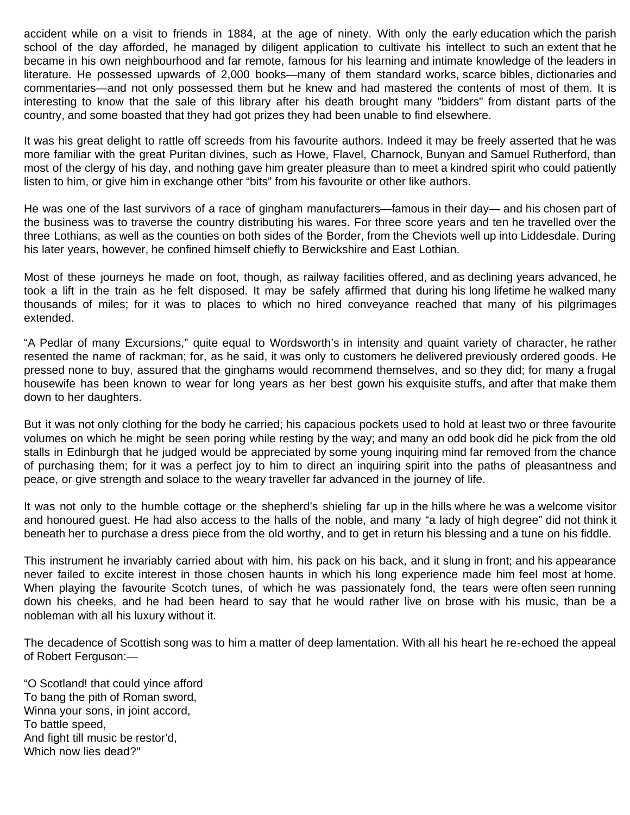accident while on a visit to friends in 1884, at the age of ninety. With only the early education which the parish school of the day afforded, he managed by diligent application to cultivate his intellect to such an extent that he became in his own neighbourhood and far remote, famous for his learning and intimate knowledge of the leaders in literature. He possessed upwards of 2,000 books—many of them standard works, scarce bibles, dictionaries and commentaries—and not only possessed them but he knew and had mastered the contents of most of them. It is interesting to know that the sale of this library after his death brought many "bidders" from distant parts of the country, and some boasted that they had got prizes they had been unable to find elsewhere.

It was his great delight to rattle off screeds from his favourite authors. Indeed it may be freely asserted that he was more familiar with the great Puritan divines, such as Howe, Flavel, Charnock, Bunyan and Samuel Rutherford, than most of the clergy of his day, and nothing gave him greater pleasure than to meet a kindred spirit who could patiently listen to him, or give him in exchange other "bits" from his favourite or other like authors.

He was one of the last survivors of a race of gingham manufacturers—famous in their day— and his chosen part of the business was to traverse the country distributing his wares. For three score years and ten he travelled over the three Lothians, as well as the counties on both sides of the Border, from the Cheviots well up into Liddesdale. During his later years, however, he confined himself chiefly to Berwickshire and East Lothian.

Most of these journeys he made on foot, though, as railway facilities offered, and as declining years advanced, he took a lift in the train as he felt disposed. It may be safely affirmed that during his long lifetime he walked many thousands of miles; for it was to places to which no hired conveyance reached that many of his pilgrimages extended.

"A Pedlar of many Excursions," quite equal to Wordsworth's in intensity and quaint variety of character, he rather resented the name of rackman; for, as he said, it was only to customers he delivered previously ordered goods. He pressed none to buy, assured that the ginghams would recommend themselves, and so they did; for many a frugal housewife has been known to wear for long years as her best gown his exquisite stuffs, and after that make them down to her daughters.

But it was not only clothing for the body he carried; his capacious pockets used to hold at least two or three favourite volumes on which he might be seen poring while resting by the way; and many an odd book did he pick from the old stalls in Edinburgh that he judged would be appreciated by some young inquiring mind far removed from the chance of purchasing them; for it was a perfect joy to him to direct an inquiring spirit into the paths of pleasantness and peace, or give strength and solace to the weary traveller far advanced in the journey of life.

It was not only to the humble cottage or the shepherd's shieling far up in the hills where he was a welcome visitor and honoured guest. He had also access to the halls of the noble, and many "a lady of high degree" did not think it beneath her to purchase a dress piece from the old worthy, and to get in return his blessing and a tune on his fiddle.

This instrument he invariably carried about with him, his pack on his back, and it slung in front; and his appearance never failed to excite interest in those chosen haunts in which his long experience made him feel most at home. When playing the favourite Scotch tunes, of which he was passionately fond, the tears were often seen running down his cheeks, and he had been heard to say that he would rather live on brose with his music, than be a nobleman with all his luxury without it.

The decadence of Scottish song was to him a matter of deep lamentation. With all his heart he re-echoed the appeal of Robert Ferguson:—

"O Scotland! that could yince afford To bang the pith of Roman sword, Winna your sons, in joint accord, To battle speed, And fight till music be restor'd, Which now lies dead?"